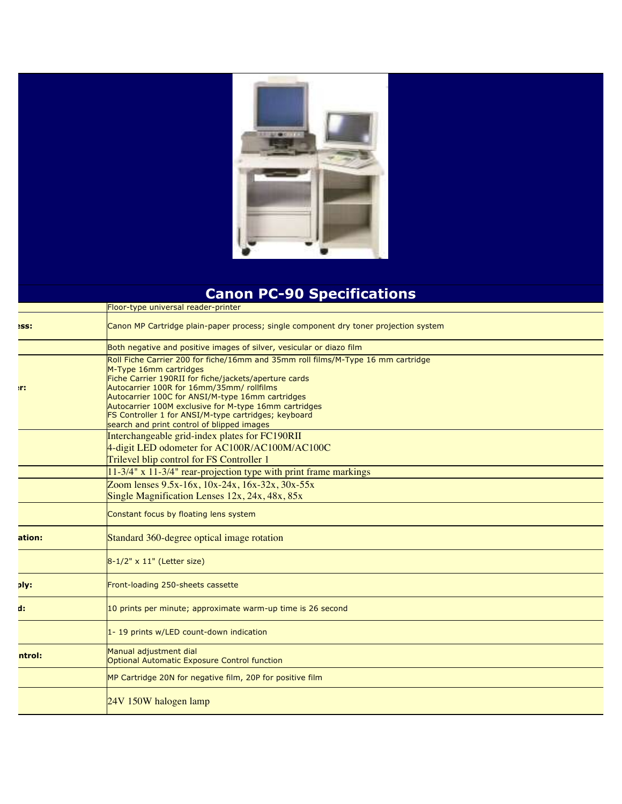

## **Canon PC-90 Specifications**

|             | Floor-type universal reader-printer                                                                                                                                                                                                                                                                                                                                                                                                 |
|-------------|-------------------------------------------------------------------------------------------------------------------------------------------------------------------------------------------------------------------------------------------------------------------------------------------------------------------------------------------------------------------------------------------------------------------------------------|
| <b>ISS:</b> | Canon MP Cartridge plain-paper process; single component dry toner projection system                                                                                                                                                                                                                                                                                                                                                |
|             | Both negative and positive images of silver, vesicular or diazo film                                                                                                                                                                                                                                                                                                                                                                |
| m.          | Roll Fiche Carrier 200 for fiche/16mm and 35mm roll films/M-Type 16 mm cartridge<br>M-Type 16mm cartridges<br>Fiche Carrier 190RII for fiche/jackets/aperture cards<br>Autocarrier 100R for 16mm/35mm/ rollfilms<br>Autocarrier 100C for ANSI/M-type 16mm cartridges<br>Autocarrier 100M exclusive for M-type 16mm cartridges<br>FS Controller 1 for ANSI/M-type cartridges; keyboard<br>search and print control of blipped images |
|             | Interchangeable grid-index plates for FC190RII<br>4-digit LED odometer for AC100R/AC100M/AC100C<br>Trilevel blip control for FS Controller 1                                                                                                                                                                                                                                                                                        |
|             | 11-3/4" x 11-3/4" rear-projection type with print frame markings                                                                                                                                                                                                                                                                                                                                                                    |
|             | Zoom lenses 9.5x-16x, 10x-24x, 16x-32x, 30x-55x<br>Single Magnification Lenses 12x, 24x, 48x, 85x                                                                                                                                                                                                                                                                                                                                   |
|             | Constant focus by floating lens system                                                                                                                                                                                                                                                                                                                                                                                              |
| ation:      | Standard 360-degree optical image rotation                                                                                                                                                                                                                                                                                                                                                                                          |
|             | 8-1/2" x 11" (Letter size)                                                                                                                                                                                                                                                                                                                                                                                                          |
| ply:        | Front-loading 250-sheets cassette                                                                                                                                                                                                                                                                                                                                                                                                   |
| d:          | 10 prints per minute; approximate warm-up time is 26 second                                                                                                                                                                                                                                                                                                                                                                         |
|             | 1-19 prints w/LED count-down indication                                                                                                                                                                                                                                                                                                                                                                                             |
| ntrol:      | Manual adjustment dial<br>Optional Automatic Exposure Control function                                                                                                                                                                                                                                                                                                                                                              |
|             | MP Cartridge 20N for negative film, 20P for positive film                                                                                                                                                                                                                                                                                                                                                                           |
|             | 24V 150W halogen lamp                                                                                                                                                                                                                                                                                                                                                                                                               |